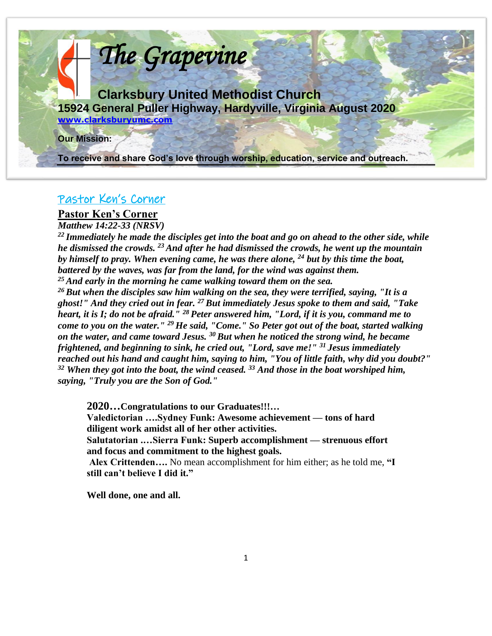

#### Pastor Ken's Corner

#### **Pastor Ken's Corner**

*Matthew 14:22-33 (NRSV)* 

*<sup>22</sup>Immediately he made the disciples get into the boat and go on ahead to the other side, while he dismissed the crowds. <sup>23</sup>And after he had dismissed the crowds, he went up the mountain by himself to pray. When evening came, he was there alone, <sup>24</sup> but by this time the boat, battered by the waves, was far from the land, for the wind was against them. <sup>25</sup>And early in the morning he came walking toward them on the sea.* 

*<sup>26</sup>But when the disciples saw him walking on the sea, they were terrified, saying, "It is a ghost!" And they cried out in fear. <sup>27</sup>But immediately Jesus spoke to them and said, "Take heart, it is I; do not be afraid." <sup>28</sup>Peter answered him, "Lord, if it is you, command me to come to you on the water." <sup>29</sup>He said, "Come." So Peter got out of the boat, started walking on the water, and came toward Jesus. <sup>30</sup>But when he noticed the strong wind, he became frightened, and beginning to sink, he cried out, "Lord, save me!" <sup>31</sup>Jesus immediately reached out his hand and caught him, saying to him, "You of little faith, why did you doubt?" <sup>32</sup> When they got into the boat, the wind ceased. <sup>33</sup> And those in the boat worshiped him, saying, "Truly you are the Son of God."* 

**2020…Congratulations to our Graduates!!!…**

**Valedictorian ….Sydney Funk: Awesome achievement — tons of hard diligent work amidst all of her other activities.** 

**Salutatorian .…Sierra Funk: Superb accomplishment — strenuous effort and focus and commitment to the highest goals.**

**Alex Crittenden….** No mean accomplishment for him either; as he told me, **"I still can't believe I did it."**

**Well done, one and all.**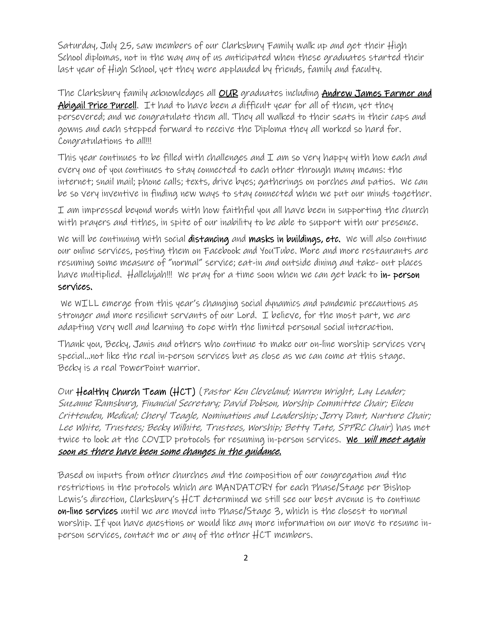Saturday, July 25, saw members of our Clarksbury Family walk up and get their High School diplomas, not in the way any of us anticipated when these graduates started their last year of High School, yet they were applauded by friends, family and faculty.

The Clarksbury family acknowledges all **OUR** graduates including **Andrew James Farmer and** Abigail Price Purcell. It had to have been a difficult year for all of them, yet they persevered; and we congratulate them all. They all walked to their seats in their caps and gowns and each stepped forward to receive the Diploma they all worked so hard for. Congratulations to all!!!

This year continues to be filled with challenges and  $I$  am so very happy with how each and every one of you continues to stay connected to each other through many means: the internet; snail mail; phone calls; texts, drive byes; gatherings on porches and patios. We can be so very inventive in finding new ways to stay connected when we put our minds together.

I am impressed beyond words with how faithful you all have been in supporting the church with prayers and tithes, in spite of our inability to be able to support with our presence.

We will be continuing with social distancing and masks in buildings, etc. We will also continue our online services, posting them on Facebook and YouTube. More and more restaurants are resuming some measure of "normal" service; eat-in and outside dining and take- out places have multiplied. Hallelujah!!! We pray for a time soon when we can get back to **in- person** services.

We WILL emerge from this year's changing social dynamics and pandemic precautions as stronger and more resilient servants of our Lord. I believe, for the most part, we are adapting very well and learning to cope with the limited personal social interaction.

Thank you, Becky, Janis and others who continue to make our on-line worship services very special…not like the real in-person services but as close as we can come at this stage. Becky is a real PowerPoint warrior.

Our Healthy Church Team (HCT) (Pastor Ken Cleveland; Warren Wright, Lay Leader; Suzanne Ramsburg, Financial Secretary; David Dobson, Worship Committee Chair; Eileen Crittenden, Medical; Cheryl Teagle, Nominations and Leadership; Jerry Dant, Nurture Chair; Lee White, Trustees; Becky Wilhite, Trustees, Worship; Betty Tate, SPPRC Chair) has met twice to look at the COVID protocols for resuming in-person services. We will meet again soon as there have been some changes in the guidance.

Based on inputs from other churches and the composition of our congregation and the restrictions in the protocols which are MANDATORY for each Phase/Stage per Bishop Lewis's direction, Clarksbury's HCT determined we still see our best avenue is to continue on-line services until we are moved into Phase/Stage 3, which is the closest to normal worship. If you have questions or would like any more information on our move to resume inperson services, contact me or any of the other HCT members.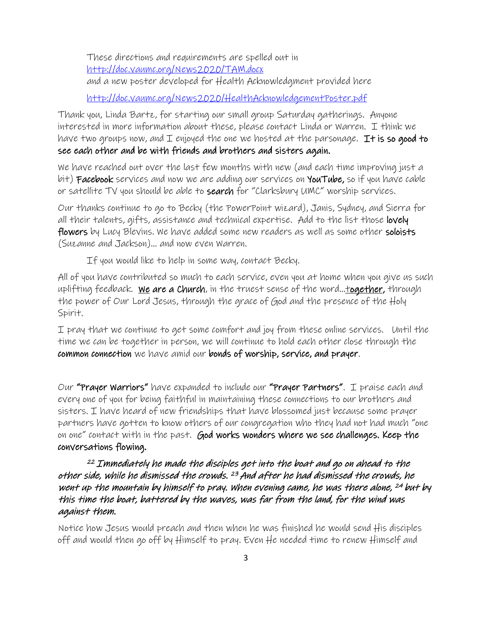These directions and requirements are spelled out in <http://doc.vaumc.org/News2020/TAM.docx> and a new poster developed for Health Acknowledgment provided here

<http://doc.vaumc.org/News2020/HealthAcknowledgementPoster.pdf>

Thank you, Linda Bartz, for starting our small group Saturday gatherings. Anyone interested in more information about these, please contact Linda or Warren. I think we have two groups now, and  $I$  enjoyed the one we hosted at the parsonage. It is so good to see each other and be with friends and brothers and sisters again.

We have reached out over the last few months with new (and each time improving just a bit) Facebook services and now we are adding our services on YouTube, so if you have cable or satellite TV you should be able to search for "Clarksbury UMC" worship services.

Our thanks continue to go to Becky (the PowerPoint wizard), Janis, Sydney, and Sierra for all their talents, gifts, assistance and technical expertise. Add to the list those **lovely** flowers by Lucy Blevins. We have added some new readers as well as some other soloists (Suzanne and Jackson)… and now even Warren.

If you would like to help in some way, contact Becky.

All of you have contributed so much to each service, even you at home when you give us such uplifting feedback. We are a Church, in the truest sense of the word...together, through the power of Our Lord Jesus, through the grace of God and the presence of the Holy Spirit.

I pray that we continue to get some comfort and joy from these online services. Until the time we can be together in person, we will continue to hold each other close through the common connection we have amid our bonds of worship, service, and prayer.

Our "Prayer Warriors" have expanded to include our "Prayer Partners". I praise each and every one of you for being faithful in maintaining these connections to our brothers and sisters. I have heard of new friendships that have blossomed just because some prayer partners have gotten to know others of our congregation who they had not had much "one on one" contact with in the past. God works wonders where we see challenges. Keep the conversations flowing.

 $^{22}$  Immediately he made the disciples get into the boat and go on ahead to the other side, while he dismissed the crowds. <sup>23</sup> And after he had dismissed the crowds, he went up the mountain by himself to pray. When evening came, he was there alone, <sup>24</sup> but by this time the boat, battered by the waves, was far from the land, for the wind was against them.

Notice how Jesus would preach and then when he was finished he would send His disciples off and would then go off by Himself to pray. Even He needed time to renew Himself and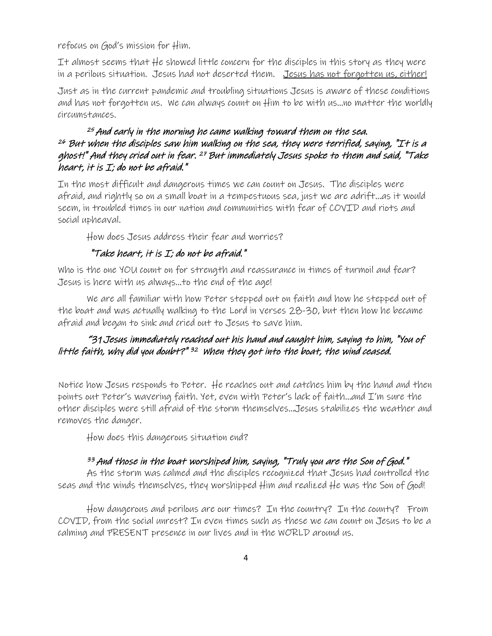refocus on God's mission for Him.

It almost seems that He showed little concern for the disciples in this story as they were in a perilous situation. Jesus had not deserted them. Jesus has not forgotten us, either!

Just as in the current pandemic and troubling situations Jesus is aware of these conditions and has not forgotten us. We can always count on Him to be with us…no matter the worldly circumstances.

#### $25$  And early in the morning he came walking toward them on the sea. <sup>26</sup> But when the disciples saw him walking on the sea, they were terrified, saying, "It is a ghost!" And they cried out in fear. <sup>27</sup> But immediately Jesus spoke to them and said, "Take heart, it is I; do not be afraid."

In the most difficult and dangerous times we can count on Jesus. The disciples were afraid, and rightly so on a small boat in a tempestuous sea, just we are adrift…as it would seem, in troubled times in our nation and communities with fear of COVID and riots and social upheaval.

How does Jesus address their fear and worries?

#### "Take heart, it is I; do not be afraid."

Who is the one YOU count on for strength and reassurance in times of turmoil and fear? Jesus is here with us always…to the end of the age!

We are all familiar with how Peter stepped out on faith and how he stepped out of the boat and was actually walking to the Lord in verses 28-30, but then how he became afraid and began to sink and cried out to Jesus to save him.

#### "31 Jesus immediately reached out his hand and caught him, saying to him, "You of little faith, why did you doubt?" <sup>32</sup> when they got into the boat, the wind ceased.

Notice how Jesus responds to Peter. He reaches out and catches him by the hand and then points out Peter's wavering faith. Yet, even with Peter's lack of faith…and I'm sure the other disciples were still afraid of the storm themselves…Jesus stabilizes the weather and removes the danger.

How does this dangerous situation end?

#### <sup>33</sup> And those in the boat worshiped him, saying, "Truly you are the Son of God."

As the storm was calmed and the disciples recognized that Jesus had controlled the seas and the winds themselves, they worshipped Him and realized He was the Son of God!

How dangerous and perilous are our times? In the country? In the county? From COVID, from the social unrest? In even times such as these we can count on Jesus to be a calming and PRESENT presence in our lives and in the WORLD around us.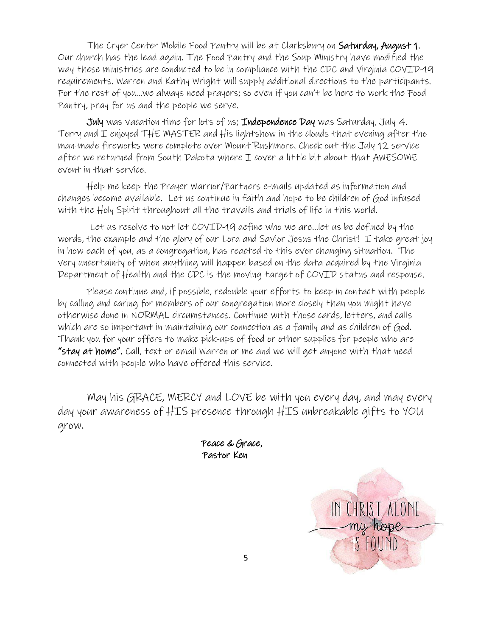The Cryer Center Mobile Food Pantry will be at Clarksbury on Saturday, August 1. Our church has the lead again. The Food Pantry and the Soup Ministry have modified the way these ministries are conducted to be in compliance with the CDC and Virginia COVID-19 requirements. Warren and Kathy Wright will supply additional directions to the participants. For the rest of you…we always need prayers; so even if you can't be here to work the Food Pantry, pray for us and the people we serve.

July was vacation time for lots of us; Independence Day was Saturday, July 4. Terry and  $I$  enjoyed THE MASTER and His lightshow in the clouds that evening after the man-made fireworks were complete over Mount Rushmore. Check out the July 12 service after we returned from South Dakota where I cover a little bit about that AWESOME event in that service.

Help me keep the Prayer Warrior/Partners e-mails updated as information and changes become available. Let us continue in faith and hope to be children of God infused with the Holy Spirit throughout all the travails and trials of life in this world.

 Let us resolve to not let COVID-19 define who we are…let us be defined by the words, the example and the glory of our Lord and Savior Jesus the Christ! I take great joy in how each of you, as a congregation, has reacted to this ever changing situation. The very uncertainty of when anything will happen based on the data acquired by the Virginia Department of Health and the CDC is the moving target of COVID status and response.

Please continue and, if possible, redouble your efforts to keep in contact with people by calling and caring for members of our congregation more closely than you might have otherwise done in NORMAL circumstances. Continue with those cards, letters, and calls which are so important in maintaining our connection as a family and as children of God. Thank you for your offers to make pick-ups of food or other supplies for people who are "stay at home". Call, text or email Warren or me and we will get anyone with that need connected with people who have offered this service.

May his GRACE, MERCY and LOVE be with you every day, and may every day your awareness of HIS presence through HIS unbreakable gifts to YOU grow.

> Peace & Grace, Pastor Ken

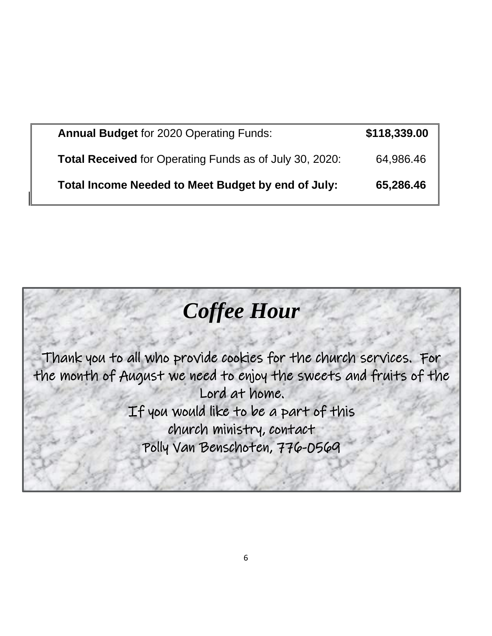| <b>Annual Budget for 2020 Operating Funds:</b>          | \$118,339.00 |
|---------------------------------------------------------|--------------|
| Total Received for Operating Funds as of July 30, 2020: | 64,986.46    |
| Total Income Needed to Meet Budget by end of July:      | 65,286.46    |

ì Thank you to all who provide cookies for the church services. For the month of August we need to enjoy the sweets and fruits of the *Coffee Hour* Lord at home. If you would like to be a part of this church ministry, contact Polly Van Benschoten, 776-0569

. .

\_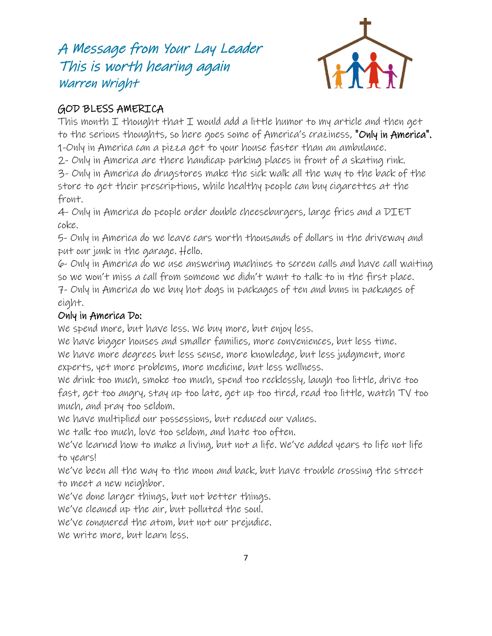# A Message from Your Lay Leader This is worth hearing again Warren Wright



#### GOD BLESS AMERICA

This month  $\mathfrak I$  thought that  $\mathfrak I$  would add a little humor to my article and then get to the serious thoughts, so here goes some of America's craziness, "Only in America". 1-Only in America can a pizza get to your house faster than an ambulance.

2- Only in America are there handicap parking places in front of a skating rink.

3- Only in America do drugstores make the sick walk all the way to the back of the store to get their prescriptions, while healthy people can buy cigarettes at the front.

4- Only in America do people order double cheeseburgers, large fries and a DIET coke.

5- Only in America do we leave cars worth thousands of dollars in the driveway and put our junk in the garage. Hello.

6- Only in America do we use answering machines to screen calls and have call waiting so we won't miss a call from someone we didn't want to talk to in the first place. 7- Only in America do we buy hot dogs in packages of ten and buns in packages of eight.

#### Only in America Do:

We spend more, but have less. We buy more, but enjoy less.

We have bigger houses and smaller families, more conveniences, but less time. We have more degrees but less sense, more knowledge, but less judgment, more experts, yet more problems, more medicine, but less wellness.

We drink too much, smoke too much, spend too recklessly, laugh too little, drive too fast, get too angry, stay up too late, get up too tired, read too little, watch TV too much, and pray too seldom.

We have multiplied our possessions, but reduced our values.

We talk too much, love too seldom, and hate too often.

We've learned how to make a living, but not a life. We've added years to life not life to years!

We've been all the way to the moon and back, but have trouble crossing the street to meet a new neighbor.

We've done larger things, but not better things.

We've cleaned up the air, but polluted the soul.

We've conquered the atom, but not our prejudice.

We write more, but learn less.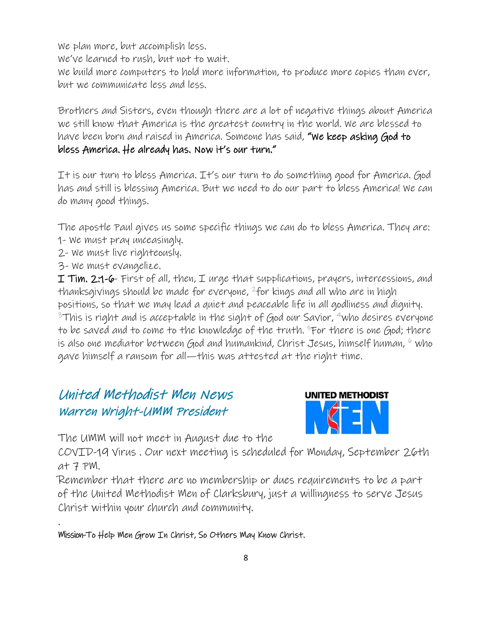We plan more, but accomplish less.

We've learned to rush, but not to wait.

We build more computers to hold more information, to produce more copies than ever, but we communicate less and less.

Brothers and Sisters, even though there are a lot of negative things about America we still know that America is the greatest country in the world. We are blessed to have been born and raised in America. Someone has said, "We keep asking God to bless America. He already has. Now it's our turn."

It is our turn to bless America. It's our turn to do something good for America. God has and still is blessing America. But we need to do our part to bless America! We can do many good things.

The apostle Paul gives us some specific things we can do to bless America. They are:

- 1- We must pray unceasingly.
- 2- We must live righteously.
- 3- We must evangelize.

.

I Tim. 2:1-6- First of all, then, I urge that supplications, prayers, intercessions, and thanksgivings should be made for everyone,  $^{2}$ for kings and all who are in high positions, so that we may lead a quiet and peaceable life in all godliness and dignity.  $3$ This is right and is acceptable in the sight of God our Savior,  $4$ who desires everyone to be saved and to come to the knowledge of the truth. <sup>5</sup>For there is one God; there is also one mediator between God and humankind, Christ Jesus, himself human,  $\degree$  who gave himself a ransom for all—this was attested at the right time.

# United Methodist Men News Warren Wright-UMM President



The UMM will not meet in August due to the

COVID-19 Virus . Our next meeting is scheduled for Monday, September 26th at 7 PM.

Remember that there are no membership or dues requirements to be a part of the United Methodist Men of Clarksbury, just a willingness to serve Jesus Christ within your church and community.

#### Mission-To Help Men Grow In Christ, So Others May Know Christ.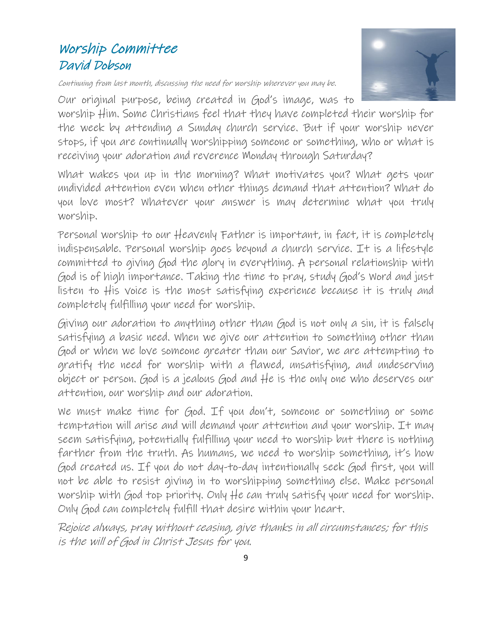# Worship Committee David Dobson

Continuing from last month, discussing the need for worship wherever you may be.



Our original purpose, being created in God's image, was to worship Him. Some Christians feel that they have completed their worship for the week by attending a Sunday church service. But if your worship never stops, if you are continually worshipping someone or something, who or what is receiving your adoration and reverence Monday through Saturday?

What wakes you up in the morning? What motivates you? What gets your undivided attention even when other things demand that attention? What do you love most? Whatever your answer is may determine what you truly worship.

Personal worship to our Heavenly Father is important, in fact, it is completely indispensable. Personal worship goes beyond a church service. It is a lifestyle committed to giving God the glory in everything. A personal relationship with God is of high importance. Taking the time to pray, study God's Word and just listen to His voice is the most satisfying experience because it is truly and completely fulfilling your need for worship.

Giving our adoration to anything other than God is not only a sin, it is falsely satisfying a basic need. When we give our attention to something other than God or when we love someone greater than our Savior, we are attempting to gratify the need for worship with a flawed, unsatisfying, and undeserving object or person. God is a jealous God and He is the only one who deserves our attention, our worship and our adoration.

We must make time for God. If you don't, someone or something or some temptation will arise and will demand your attention and your worship. It may seem satisfying, potentially fulfilling your need to worship but there is nothing farther from the truth. As humans, we need to worship something, it's how God created us. If you do not day-to-day intentionally seek God first, you will not be able to resist giving in to worshipping something else. Make personal worship with God top priority. Only He can truly satisfy your need for worship. Only God can completely fulfill that desire within your heart.

Rejoice always, pray without ceasing, give thanks in all circumstances; for this is the will of God in Christ Jesus for you.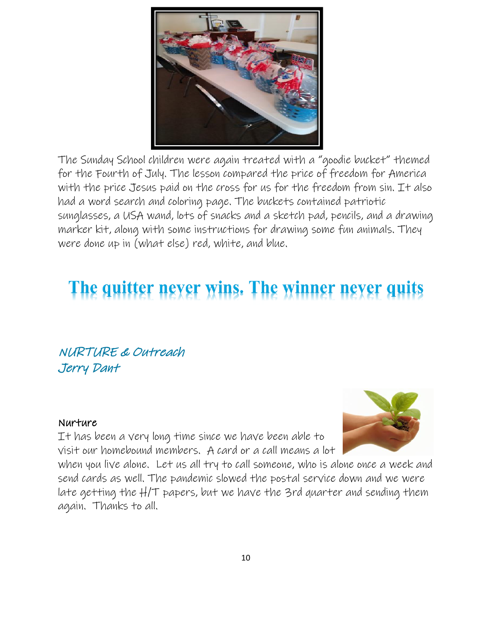

The Sunday School children were again treated with a "goodie bucket" themed for the Fourth of July. The lesson compared the price of freedom for America with the price Jesus paid on the cross for us for the freedom from sin. It also had a word search and coloring page. The buckets contained patriotic sunglasses, a USA wand, lots of snacks and a sketch pad, pencils, and a drawing marker kit, along with some instructions for drawing some fun animals. They were done up in (what else) red, white, and blue.

# The quitter never wins. The winner never quits

NURTURE & Outreach Jerry Dant

#### Nurture

It has been a very long time since we have been able to visit our homebound members. A card or a call means a lot



when you live alone. Let us all try to call someone, who is alone once a week and send cards as well. The pandemic slowed the postal service down and we were late getting the H/T papers, but we have the 3rd quarter and sending them again. Thanks to all.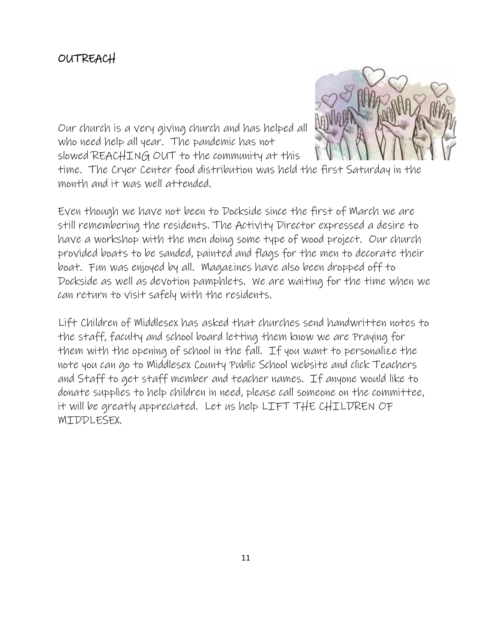### OUTREACH

Our church is a very giving church and has helped all who need help all year. The pandemic has not slowed REACHING OUT to the community at this



time. The Cryer Center food distribution was held the first Saturday in the month and it was well attended.

Even though we have not been to Dockside since the first of March we are still remembering the residents. The Activity Director expressed a desire to have a workshop with the men doing some type of wood project. Our church provided boats to be sanded, painted and flags for the men to decorate their boat. Fun was enjoyed by all. Magazines have also been dropped off to Dockside as well as devotion pamphlets. We are waiting for the time when we can return to visit safely with the residents.

Lift Children of Middlesex has asked that churches send handwritten notes to the staff, faculty and school board letting them know we are Praying for them with the opening of school in the fall. If you want to personalize the note you can go to Middlesex County Public School website and click Teachers and Staff to get staff member and teacher names. If anyone would like to donate supplies to help children in need, please call someone on the committee, it will be greatly appreciated. Let us help LIFT THE CHILDREN OF MIDDLESEX.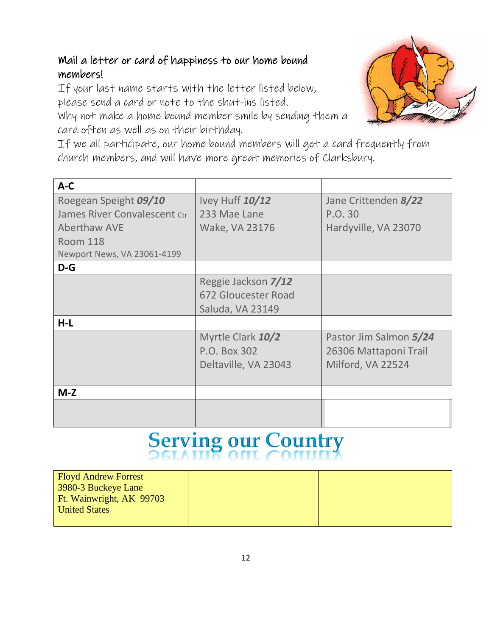### Mail a letter or card of happiness to our home bound members!

If your last name starts with the letter listed below, please send a card or note to the shut-ins listed.

Why not make a home bound member smile by sending them a card often as well as on their birthday.



If we all participate, our home bound members will get a card frequently from church members, and will have more great memories of Clarksbury.

| $A-C$                        |                                                                |                                                                      |  |
|------------------------------|----------------------------------------------------------------|----------------------------------------------------------------------|--|
| Roegean Speight 09/10        | Ivey Huff 10/12                                                | Jane Crittenden 8/22                                                 |  |
| James River Convalescent Ctr | 233 Mae Lane                                                   | P.O. 30                                                              |  |
| <b>Aberthaw AVE</b>          | Wake, VA 23176                                                 | Hardyville, VA 23070                                                 |  |
| <b>Room 118</b>              |                                                                |                                                                      |  |
| Newport News, VA 23061-4199  |                                                                |                                                                      |  |
| $D-G$                        |                                                                |                                                                      |  |
|                              | Reggie Jackson 7/12<br>672 Gloucester Road<br>Saluda, VA 23149 |                                                                      |  |
| $H-L$                        |                                                                |                                                                      |  |
|                              | Myrtle Clark 10/2<br>P.O. Box 302<br>Deltaville, VA 23043      | Pastor Jim Salmon 5/24<br>26306 Mattaponi Trail<br>Milford, VA 22524 |  |
| $M-Z$                        |                                                                |                                                                      |  |
|                              |                                                                |                                                                      |  |

# **Serving our Country**

| <b>Floyd Andrew Forrest</b><br>$\sqrt{3980}$ -3 Buckeye Lane |  |
|--------------------------------------------------------------|--|
| Ft. Wainwright, AK 99703<br><b>United States</b>             |  |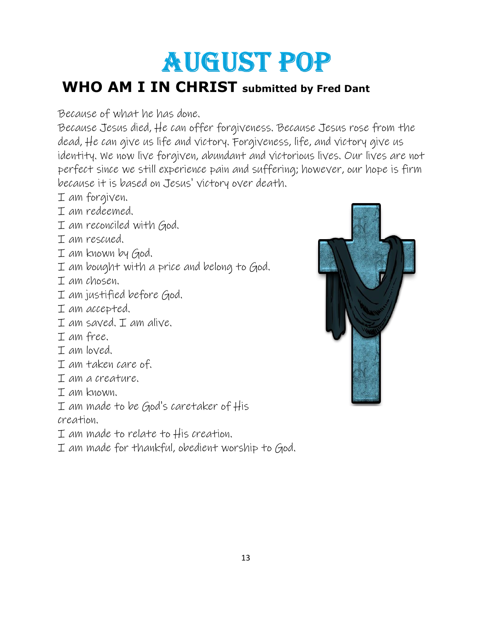# 

# **WHO AM I IN CHRIST submitted by Fred Dant**

Because of what he has done.

Because Jesus died, He can offer forgiveness. Because Jesus rose from the dead, He can give us life and victory. Forgiveness, life, and victory give us identity. We now live forgiven, abundant and victorious lives. Our lives are not perfect since we still experience pain and suffering; however, our hope is firm because it is based on Jesus' victory over death.

- I am forgiven.
- I am redeemed.
- I am reconciled with God.
- I am rescued.
- I am known by God.
- I am bought with a price and belong to God.
- I am chosen.
- I am justified before God.
- I am accepted.
- $I$  am saved.  $I$  am alive.
- I am free.
- I am loved.
- I am taken care of.
- I am a creature.
- I am known.
- I am made to be God's caretaker of His
- creation.
- I am made to relate to His creation.
- I am made for thankful, obedient worship to God.